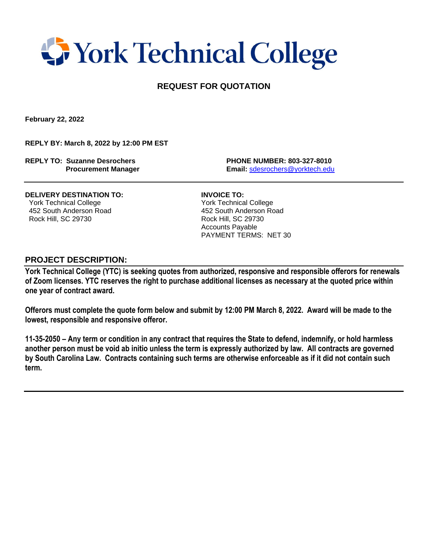## **T** York Technical College

### **REQUEST FOR QUOTATION**

**February 22, 2022**

**REPLY BY: March 8, 2022 by 12:00 PM EST**

**REPLY TO: Suzanne Desrochers PHONE NUMBER: 803-327-8010**

 **Procurement Manager Email:** [sdesrochers@yorktech.edu](mailto:sdesrochers@yorktech.edu)

**DELIVERY DESTINATION TO: INVOICE TO:** York Technical College York Technical College 452 South Anderson Road 452 South Anderson Road Rock Hill, SC 29730 Rock Hill, SC 29730

 Accounts Payable PAYMENT TERMS: NET 30

#### **PROJECT DESCRIPTION:**

**York Technical College (YTC) is seeking quotes from authorized, responsive and responsible offerors for renewals of Zoom licenses. YTC reserves the right to purchase additional licenses as necessary at the quoted price within one year of contract award.** 

**Offerors must complete the quote form below and submit by 12:00 PM March 8, 2022. Award will be made to the lowest, responsible and responsive offeror.** 

**11-35-2050 – Any term or condition in any contract that requires the State to defend, indemnify, or hold harmless another person must be void ab initio unless the term is expressly authorized by law. All contracts are governed by South Carolina Law. Contracts containing such terms are otherwise enforceable as if it did not contain such term.**